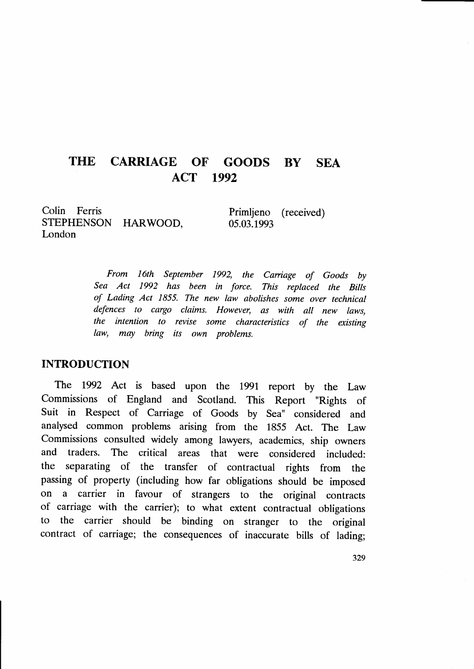#### THE CARRIAGE OF GOODS BY ACT 1992 **SEA**

Colin Ferris STEPHENSON HARWOOD, London

Primljeno (received) 05.03.1993

From 16th September 1992, the Carriage of Goods by Sea Act 1992 has been in force. This replaced the Bilts of Lading Act 1855. The new law abolishes some over technical defences to cargo claims. However, as with all new laws, the intention to revise some characteristics of the existing law, may bring its own problems.

### INTRODUCTION

The 1992 Act is based upon the 1991 report by the Law Commissions of England and Scotland. This Report "Rights of Suit in Respect of Carriage of Goods by Sea" considered and analysed common problems arising from the 1855 Act. The Law Commissions consulted widely among lawyers, academics, ship owners and traders. The critical areas that were considered included: the separating of the transfer of contractual rights from the passing of property (including how far obligations should be imposed on a carrier in favour of strangers to the original contracts of carriage with the carrier); to what extent contractual obligations to the carrier should be binding on stranger to the original contract of carriage; the consequences of inaccurate bills of lading;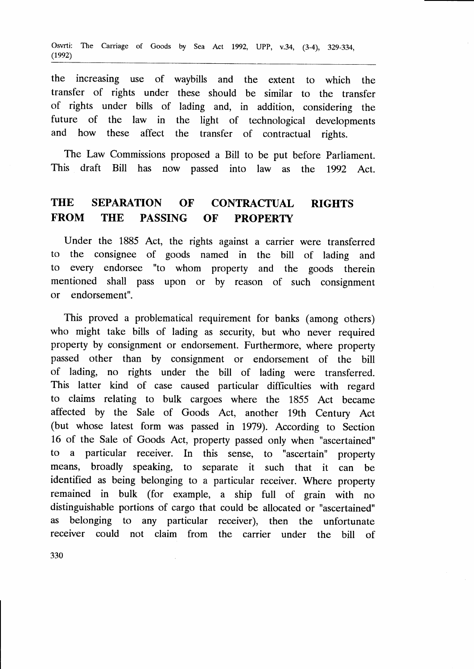the increasing use of waybills and the extent to which the transfer of rights under these should be similar to the transfer of rights under bills of lading and, in addition, considering the future of the law in the light of technological developments and how these affect the transfer of contractual rights.

The Law Commissions proposed a Bill to be put before Parliament. This draft Bill has now passed into law as the 1992 Act.

# THE SEPARATION OF CONTRACTUAL RIGHTS FROM THE PASSING OF PROPERTY

Under the 1885 Act, the rights against a carrier were transferred to the consignee of goods named in the bill of lading and to every endorsee "to whom property and the goods therein mentioned shall pass upon or by reason of such consignment or endorsement".

This proved a problematical requirement for banks (among others) who might take bills of lading as security, but who never required property by consignment or endorsement. Furthermore, where property passed other than by consignment or endorsement of the bill of lading, no rights under the bill of lading were transferred. This latter kind of case caused particular difficulties with regard to claims relating to bulk cargoes where the 1855 Act became affected by the Sale of Goods Act, another 19th Century Act (but whose latest form was passed in 1979). According to Section 16 of the Sale of Goods Act, property passed only when "ascertained" to a particular receiver. In this sense, to "ascertain" property means, broadly speaking, to separate it such that it can be identified as being belonging to a particular receiver. Where property remained in bulk (for example, a ship full of grain with no distinguishable portions of cargo that could be allocated or "ascertained" as belonging to any particular receiver), then the unfortunate receiver could not claim from the carrier under the bill of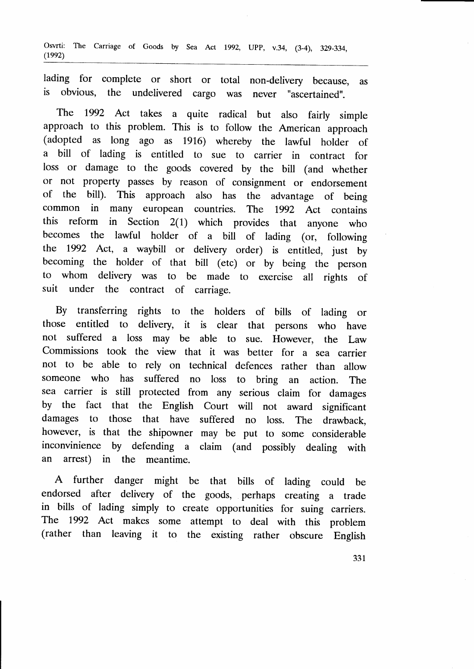Osvrti: The Carriage of Goods by Sea Act 1992, UPP, v.34, (3-4), 329-334,  $(1992)$ 

lading for complete or short or total non-delivery because, as is obvious, the undelivered cargo was never "ascertained".

The 1992 Act takes a quite radical but also fairly simple approach to this problem. This is to follow the American approach (adopted as long ago as 1916) whereby the lawful holder of a bill of lading is entitled to sue to carrier in contract for loss or damage to the goods covered by the bill (and whether or not property passes by reason of consignment or endorsement of the bill). This approach also has the advantage of being common in many european countries. The  $1992$  Act contains this reform in Section  $2(1)$  which provides that anyone who reform in Section  $2(1)$  which provides that anyone who becomes the lawful holder of a bill of lading (or, following the 1992 Act, a waybill or delivery order) is entitled, just by becoming the holder of that bill (etc) or by being the person to whom delivery was to be made to exercise all rights of suit under the contract of carriage.

By transferring rights to the holders of bills of lading or those entitled to delivery, it is clear that persons who have not suffered a loss may be able to sue. However, the Law Commissions took the view that it was better for a sea carrier not to be able to rely on technical defences rather than allow someone who has suffered no loss to bring an action. The sea carrier is still protected from any serious claim for damages by the fact that the English Court will not award significant damages to those that have suffered no loss. The drawback, however, is that the shipowner may be put to some considerable inconvinience by defending a claim (and possibly dealing with an arrest) in the meantime.

A further danger might be that bills of lading could be endorsed after delivery of the goods, perhaps creating a trade in bills of lading simply to create opportunities for suing carriers. The 1992 Act makes some attempt to deal with this problem (rather than leaving it to the existing rather obscure English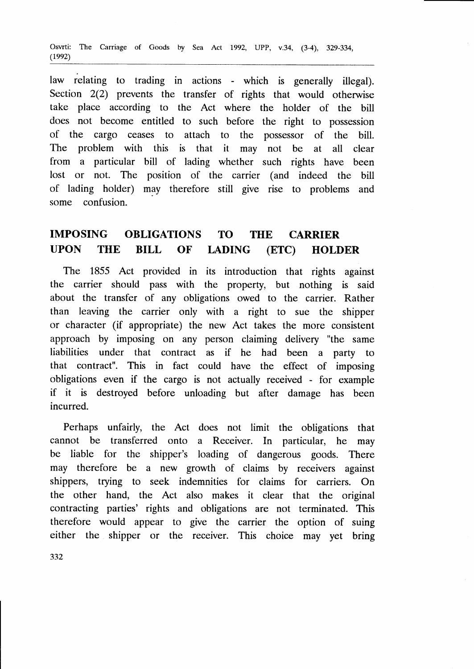Osvrti: The Carriage of Goods by Sea Act 1992, UPP, v.34, (3-4), 329-334,  $(1992)$ 

law relating to trading in actions - which is generally illegal). Section 2(2) prevents the transfer of rights that would otherwise take place according to the Act where the holder of the bill does not become entitled to such before the right to possession of the cargo ceases to attach to the possessor of the bill. The problem with this is that it may not be at all clear from a particular bill of lading whether such rights have been lost or not. The position of the carrier (and indeed the bill of lading holder) may therefore still give rise to problems and some confusion.

## IMPOSING OBLIGATIONS TO THE CARRIER UPON THE BILL OF I.ADING (ETC) HOLDER

The 1855 Act provided in its introduction that rights against the carrier should pass with the property, but nothing is said about the transfer of any obligations owed to the carrier. Rather than leaving the carrier only with a right to sue the shipper or character (if appropriate) the new Act takes the more consistent approach by imposing on any person claiming delivery "the same liabilities under that contract as if he had been a party to that contract". This in fact could have the effect of imposing obligations even if the cargo is not actually received - for example if it is destroyed before unloading but after damage has been incurred.

Perhaps unfairly, the Act does not limit the obligations that cannot be transferred onto a Receiver. In particular, he may be liable for the shipper's loading of dangerous goods. There may therefore be a new growth of claims by receivers against shippers, trying to seek indemnities for claims for carriers. On the other hand, the Act also makes it clear that the original contracting parties' rights and obligations are not terminated. This therefore would appear to give the carrier the option of suing either the shipper or the receiver. This choice may yet bring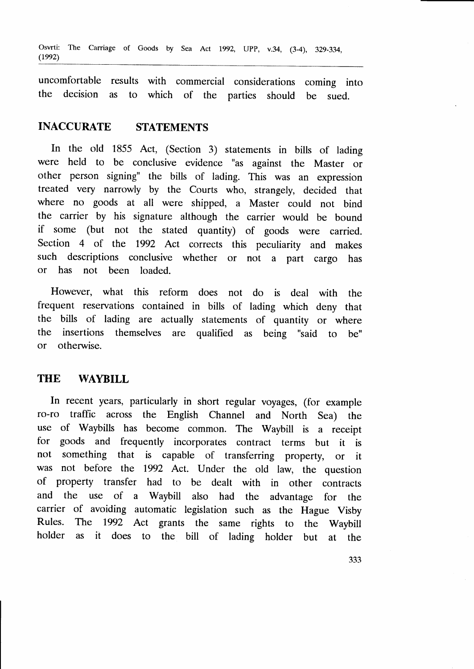Osvrti: The Carriage of Goods by Sea Act 1992, UPP, v.34, (3-4), 329-334,  $(1992)$ 

uncomfortable results with commercial considerations coming into<br>the decision as to which of the parties should be sued to which of the parties should be sued.

## INACCURATE STATEMENTS

In the old 1855 Act, (Section 3) statements in bills of lading were held to be conclusive evidence "as against the Master or other person signing" the bills of lading. This was an expression treated very narrowly by the Courts who, strangely, decided that where no goods at all were shipped, a Master could not bind the carrier by his signature although the carrier would be bound if some (but not the stated quantity) of goods were carried. Section 4 of the 1992 Act corrects this peculiarity and makes such descriptions conclusive whether or not a part cargo has or has not been loaded.

However, what this reform does not do is deal with the frequent reservations contained in bills of lading which deny that the bills of lading are actually statements of quantity or where the insertions themselves are qualified as being "said to be" or otherwise.

#### THE WAYBILL

In recent years, particularly in short regular voyages, (for example ro-ro traffic across the English Channel and North Sea) the use of Waybills has become common. The Waybill is a receipt for goods and frequently incorporates contract terms but it is not something that is capable of transferring property, or it was not before the 1992 Act. Under the old law, the question of property transfer had to be dealt with in other contracts and the use of a Waybill also had the advantage for the carrier of avoiding automatic legislation such as the Hague Visby Rules. The 1992 Act grants the same rights to the Waybill holder as it does to the bill of lading holder but at the